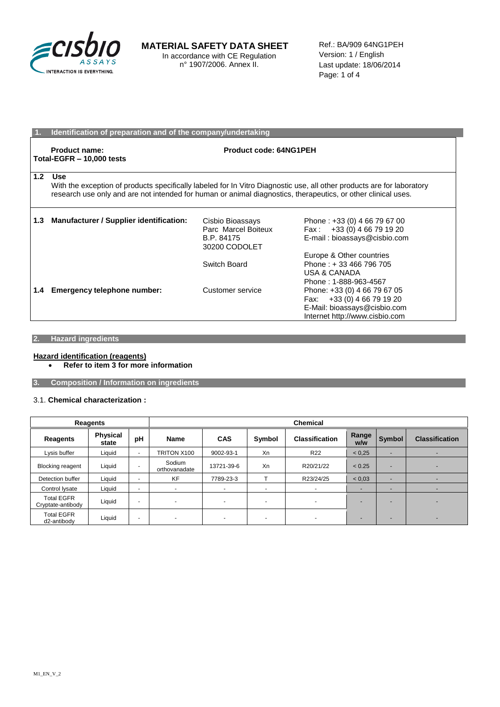

## **MATERIAL SAFETY DATA SHEET** In accordance with CE Regulation

n° 1907/2006. Annex II.

Ref.: BA/909 64NG1PEH Version: 1 / English Last update: 18/06/2014 Page: 1 of 4

| 1.  | Identification of preparation and of the company/undertaking                                                                                                                                                                                   |                                                                        |                                                                                                                              |  |
|-----|------------------------------------------------------------------------------------------------------------------------------------------------------------------------------------------------------------------------------------------------|------------------------------------------------------------------------|------------------------------------------------------------------------------------------------------------------------------|--|
|     | <b>Product name:</b><br>Total-EGFR $-$ 10,000 tests                                                                                                                                                                                            | Product code: 64NG1PEH                                                 |                                                                                                                              |  |
| 1.2 | Use<br>With the exception of products specifically labeled for In Vitro Diagnostic use, all other products are for laboratory<br>research use only and are not intended for human or animal diagnostics, therapeutics, or other clinical uses. |                                                                        |                                                                                                                              |  |
| 1.3 | Manufacturer / Supplier identification:                                                                                                                                                                                                        | Cisbio Bioassays<br>Parc Marcel Boiteux<br>B.P. 84175<br>30200 CODOLET | Phone: +33 (0) 4 66 79 67 00<br>+33 (0) 4 66 79 19 20<br>Fax :<br>E-mail: bioassays@cisbio.com                               |  |
|     |                                                                                                                                                                                                                                                | Switch Board                                                           | Europe & Other countries<br>Phone: +33 466 796 705<br>USA & CANADA<br>Phone: 1-888-963-4567                                  |  |
| 1.4 | Emergency telephone number:                                                                                                                                                                                                                    | Customer service                                                       | Phone: +33 (0) 4 66 79 67 05<br>Fax: +33 (0) 4 66 79 19 20<br>E-Mail: bioassays@cisbio.com<br>Internet http://www.cisbio.com |  |

### **2. Hazard ingredients**

#### **Hazard identification (reagents) Refer to item 3 for more information**

**3. Composition / Information on ingredients**

#### 3.1. **Chemical characterization :**

| Reagents                               |                          |                          | <b>Chemical</b>         |                          |                          |                          |              |                          |                          |
|----------------------------------------|--------------------------|--------------------------|-------------------------|--------------------------|--------------------------|--------------------------|--------------|--------------------------|--------------------------|
| Reagents                               | <b>Physical</b><br>state | pH                       | Name                    | <b>CAS</b>               | Symbol                   | <b>Classification</b>    | Range<br>w/w | Symbol                   | <b>Classification</b>    |
| Lysis buffer                           | Liquid                   | $\overline{a}$           | TRITON X100             | 9002-93-1                | Xn                       | R <sub>22</sub>          | < 0.25       |                          |                          |
| <b>Blocking reagent</b>                | Liquid                   | $\overline{\phantom{a}}$ | Sodium<br>orthovanadate | 13721-39-6               | Xn                       | R20/21/22                | < 0.25       | -                        | $\overline{\phantom{0}}$ |
| Detection buffer                       | Liquid                   | $\overline{\phantom{a}}$ | <b>KF</b>               | 7789-23-3                |                          | R23/24/25                | < 0.03       | $\overline{\phantom{a}}$ |                          |
| Control lysate                         | Liquid                   | $\overline{\phantom{a}}$ | ۰                       | ۰                        | $\sim$                   | $\overline{\phantom{0}}$ |              | $\overline{\phantom{a}}$ |                          |
| <b>Total EGFR</b><br>Cryptate-antibody | Liquid                   | $\overline{\phantom{a}}$ | -                       | $\overline{\phantom{0}}$ | $\sim$                   | $\overline{\phantom{0}}$ |              |                          | $\overline{\phantom{0}}$ |
| <b>Total EGFR</b><br>d2-antibody       | Liquid                   | $\overline{\phantom{a}}$ |                         |                          | $\overline{\phantom{a}}$ |                          |              |                          | $\overline{\phantom{0}}$ |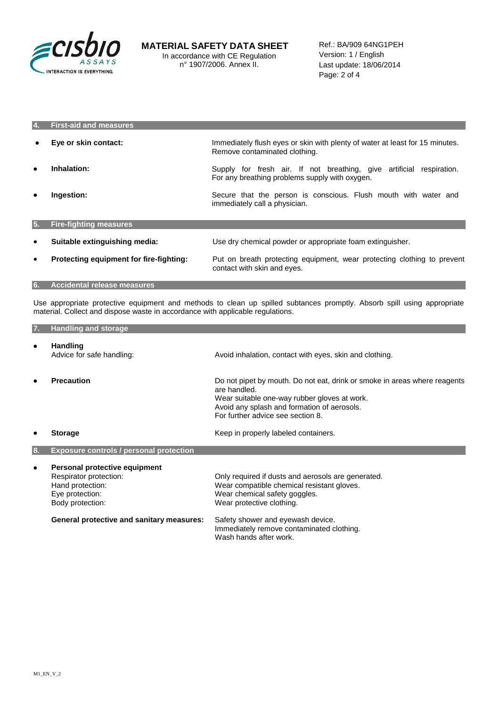

| 14.       | <b>First-aid and measures</b>           |                                                                                                                        |
|-----------|-----------------------------------------|------------------------------------------------------------------------------------------------------------------------|
|           | Eye or skin contact:                    | Immediately flush eyes or skin with plenty of water at least for 15 minutes.<br>Remove contaminated clothing.          |
| ٠         | Inhalation:                             | Supply for fresh air. If not breathing, give artificial respiration.<br>For any breathing problems supply with oxygen. |
| ٠         | Ingestion:                              | Secure that the person is conscious. Flush mouth with water and<br>immediately call a physician.                       |
| 5.        | <b>Fire-fighting measures</b>           |                                                                                                                        |
| ٠         | Suitable extinguishing media:           | Use dry chemical powder or appropriate foam extinguisher.                                                              |
| $\bullet$ | Protecting equipment for fire-fighting: | Put on breath protecting equipment, wear protecting clothing to prevent<br>contact with skin and eyes.                 |
| 6.        | <b>Accidental release measures</b>      |                                                                                                                        |

Use appropriate protective equipment and methods to clean up spilled subtances promptly. Absorb spill using appropriate material. Collect and dispose waste in accordance with applicable regulations.

| 7. | <b>Handling and storage</b>                                                                                        |                                                                                                                                                                                                                               |
|----|--------------------------------------------------------------------------------------------------------------------|-------------------------------------------------------------------------------------------------------------------------------------------------------------------------------------------------------------------------------|
| ٠  | <b>Handling</b><br>Advice for safe handling:                                                                       | Avoid inhalation, contact with eyes, skin and clothing.                                                                                                                                                                       |
| ٠  | <b>Precaution</b>                                                                                                  | Do not pipet by mouth. Do not eat, drink or smoke in areas where reagents<br>are handled.<br>Wear suitable one-way rubber gloves at work.<br>Avoid any splash and formation of aerosols.<br>For further advice see section 8. |
|    | <b>Storage</b>                                                                                                     | Keep in properly labeled containers.                                                                                                                                                                                          |
| 8. | <b>Exposure controls / personal protection</b>                                                                     |                                                                                                                                                                                                                               |
| ٠  | Personal protective equipment<br>Respirator protection:<br>Hand protection:<br>Eye protection:<br>Body protection: | Only required if dusts and aerosols are generated.<br>Wear compatible chemical resistant gloves.<br>Wear chemical safety goggles.<br>Wear protective clothing.                                                                |
|    | <b>General protective and sanitary measures:</b>                                                                   | Safety shower and eyewash device.<br>Immediately remove contaminated clothing.<br>Wash hands after work.                                                                                                                      |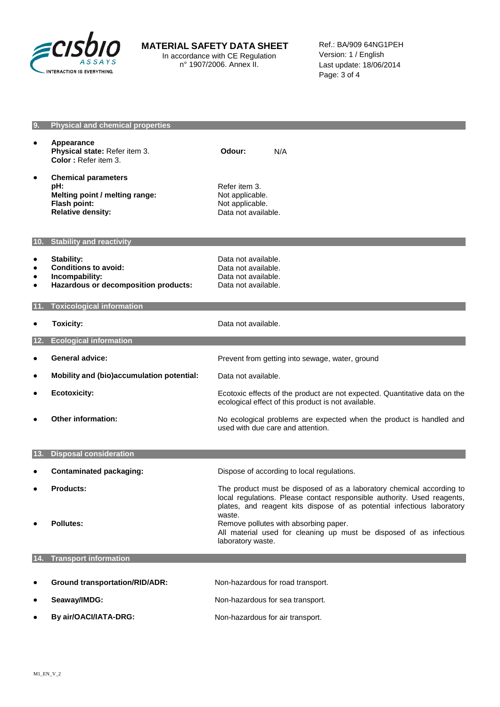

# **MATERIAL SAFETY DATA SHEET**

In accordance with CE Regulation n° 1907/2006. Annex II.

Ref.: BA/909 64NG1PEH Version: 1 / English Last update: 18/06/2014 Page: 3 of 4

| 9.                                       | <b>Physical and chemical properties</b>                                                                         |                                                                                                                                                                                                                                      |
|------------------------------------------|-----------------------------------------------------------------------------------------------------------------|--------------------------------------------------------------------------------------------------------------------------------------------------------------------------------------------------------------------------------------|
| $\bullet$                                | <b>Appearance</b><br>Physical state: Refer item 3.<br>Color: Refer item 3.                                      | Odour:<br>N/A                                                                                                                                                                                                                        |
| ٠                                        | <b>Chemical parameters</b><br>pH:<br>Melting point / melting range:<br>Flash point:<br><b>Relative density:</b> | Refer item 3.<br>Not applicable.<br>Not applicable.<br>Data not available.                                                                                                                                                           |
|                                          | 10. Stability and reactivity                                                                                    |                                                                                                                                                                                                                                      |
| ٠<br>$\bullet$<br>$\bullet$<br>$\bullet$ | <b>Stability:</b><br><b>Conditions to avoid:</b><br>Incompability:<br>Hazardous or decomposition products:      | Data not available.<br>Data not available.<br>Data not available.<br>Data not available.                                                                                                                                             |
| 11.                                      | <b>Toxicological information</b>                                                                                |                                                                                                                                                                                                                                      |
| ٠                                        | <b>Toxicity:</b>                                                                                                | Data not available.                                                                                                                                                                                                                  |
| 12.                                      | <b>Ecological information</b>                                                                                   |                                                                                                                                                                                                                                      |
| ٠                                        | <b>General advice:</b>                                                                                          | Prevent from getting into sewage, water, ground                                                                                                                                                                                      |
| $\bullet$                                | Mobility and (bio)accumulation potential:                                                                       | Data not available.                                                                                                                                                                                                                  |
| $\bullet$                                | <b>Ecotoxicity:</b>                                                                                             | Ecotoxic effects of the product are not expected. Quantitative data on the<br>ecological effect of this product is not available.                                                                                                    |
| ٠                                        | <b>Other information:</b>                                                                                       | No ecological problems are expected when the product is handled and<br>used with due care and attention.                                                                                                                             |
| 13.                                      | <b>Disposal consideration</b>                                                                                   |                                                                                                                                                                                                                                      |
| ٠                                        | <b>Contaminated packaging:</b>                                                                                  | Dispose of according to local regulations.                                                                                                                                                                                           |
| ٠                                        | <b>Products:</b>                                                                                                | The product must be disposed of as a laboratory chemical according to<br>local regulations. Please contact responsible authority. Used reagents,<br>plates, and reagent kits dispose of as potential infectious laboratory<br>waste. |
|                                          | <b>Pollutes:</b>                                                                                                | Remove pollutes with absorbing paper.<br>All material used for cleaning up must be disposed of as infectious<br>laboratory waste.                                                                                                    |
| 14.                                      | <b>Transport information</b>                                                                                    |                                                                                                                                                                                                                                      |
|                                          | <b>Ground transportation/RID/ADR:</b>                                                                           | Non-hazardous for road transport.                                                                                                                                                                                                    |
| ٠                                        | Seaway/IMDG:                                                                                                    | Non-hazardous for sea transport.                                                                                                                                                                                                     |
|                                          |                                                                                                                 |                                                                                                                                                                                                                                      |
|                                          | By air/OACI/IATA-DRG:                                                                                           | Non-hazardous for air transport.                                                                                                                                                                                                     |